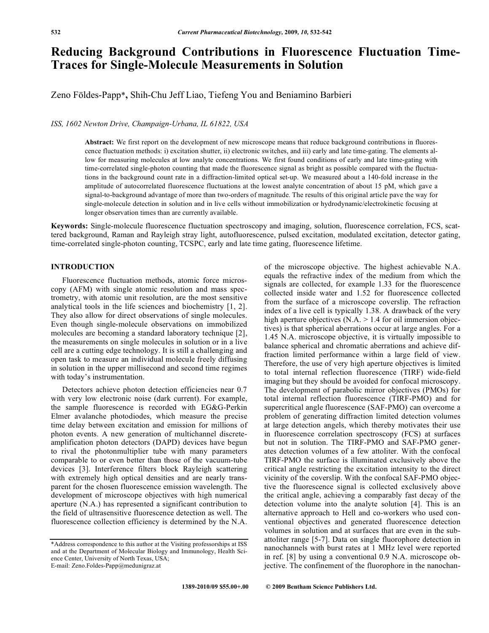# **Reducing Background Contributions in Fluorescence Fluctuation Time-Traces for Single-Molecule Measurements in Solution**

Zeno Földes-Papp\***,** Shih-Chu Jeff Liao, Tiefeng You and Beniamino Barbieri

*ISS, 1602 Newton Drive, Champaign-Urbana, IL 61822, USA* 

**Abstract:** We first report on the development of new microscope means that reduce background contributions in fluorescence fluctuation methods: i) excitation shutter, ii) electronic switches, and iii) early and late time-gating. The elements allow for measuring molecules at low analyte concentrations. We first found conditions of early and late time-gating with time-correlated single-photon counting that made the fluorescence signal as bright as possible compared with the fluctuations in the background count rate in a diffraction-limited optical set-up. We measured about a 140-fold increase in the amplitude of autocorrelated fluorescence fluctuations at the lowest analyte concentration of about 15 pM, which gave a signal-to-background advantage of more than two-orders of magnitude. The results of this original article pave the way for single-molecule detection in solution and in live cells without immobilization or hydrodynamic/electrokinetic focusing at longer observation times than are currently available.

**Keywords:** Single-molecule fluorescence fluctuation spectroscopy and imaging, solution, fluorescence correlation, FCS, scattered background, Raman and Rayleigh stray light, autofluorescence, pulsed excitation, modulated excitation, detector gating, time-correlated single-photon counting, TCSPC, early and late time gating, fluorescence lifetime.

# **INTRODUCTION**

 Fluorescence fluctuation methods, atomic force microscopy (AFM) with single atomic resolution and mass spectrometry, with atomic unit resolution, are the most sensitive analytical tools in the life sciences and biochemistry [1, 2]. They also allow for direct observations of single molecules. Even though single-molecule observations on immobilized molecules are becoming a standard laboratory technique [2], the measurements on single molecules in solution or in a live cell are a cutting edge technology. It is still a challenging and open task to measure an individual molecule freely diffusing in solution in the upper millisecond and second time regimes with today's instrumentation.

 Detectors achieve photon detection efficiencies near 0.7 with very low electronic noise (dark current). For example, the sample fluorescence is recorded with EG&G-Perkin Elmer avalanche photodiodes, which measure the precise time delay between excitation and emission for millions of photon events. A new generation of multichannel discreteamplification photon detectors (DAPD) devices have begun to rival the photonmultiplier tube with many parameters comparable to or even better than those of the vacuum-tube devices [3]. Interference filters block Rayleigh scattering with extremely high optical densities and are nearly transparent for the chosen fluorescence emission wavelength. The development of microscope objectives with high numerical aperture (N.A.) has represented a significant contribution to the field of ultrasensitive fluorescence detection as well. The fluorescence collection efficiency is determined by the N.A.

of the microscope objective. The highest achievable N.A. equals the refractive index of the medium from which the signals are collected, for example 1.33 for the fluorescence collected inside water and 1.52 for fluorescence collected from the surface of a microscope coverslip. The refraction index of a live cell is typically 1.38. A drawback of the very high aperture objectives (N.A. > 1.4 for oil immersion objectives) is that spherical aberrations occur at large angles. For a 1.45 N.A. microscope objective, it is virtually impossible to balance spherical and chromatic aberrations and achieve diffraction limited performance within a large field of view. Therefore, the use of very high aperture objectives is limited to total internal reflection fluorescence (TIRF) wide-field imaging but they should be avoided for confocal microscopy. The development of parabolic mirror objectives (PMOs) for total internal reflection fluorescence (TIRF-PMO) and for supercritical angle fluorescence (SAF-PMO) can overcome a problem of generating diffraction limited detection volumes at large detection angels, which thereby motivates their use in fluorescence correlation spectroscopy (FCS) at surfaces but not in solution. The TIRF-PMO and SAF-PMO generates detection volumes of a few attoliter. With the confocal TIRF-PMO the surface is illuminated exclusively above the critical angle restricting the excitation intensity to the direct vicinity of the coverslip. With the confocal SAF-PMO objective the fluorescence signal is collected exclusively above the critical angle, achieving a comparably fast decay of the detection volume into the analyte solution [4]. This is an alternative approach to Hell and co-workers who used conventional objectives and generated fluorescence detection volumes in solution and at surfaces that are even in the subattoliter range [5-7]. Data on single fluorophore detection in nanochannels with burst rates at 1 MHz level were reported in ref. [8] by using a conventional 0.9 N.A. microscope objective. The confinement of the fluorophore in the nanochan-

<sup>\*</sup>Address correspondence to this author at the Visiting professorships at ISS and at the Department of Molecular Biology and Immunology, Health Science Center, University of North Texas, USA; E-mail: Zeno.Foldes-Papp@medunigraz.at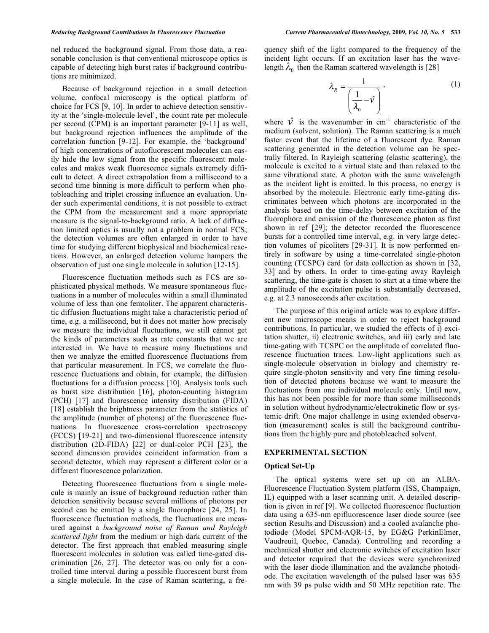nel reduced the background signal. From those data, a reasonable conclusion is that conventional microscope optics is capable of detecting high burst rates if background contributions are minimized.

 Because of background rejection in a small detection volume, confocal microscopy is the optical platform of choice for FCS [9, 10]. In order to achieve detection sensitivity at the 'single-molecule level', the count rate per molecule per second (CPM) is an important parameter [9-11] as well, but background rejection influences the amplitude of the correlation function [9-12]. For example, the 'background' of high concentrations of autofluorescent molecules can easily hide the low signal from the specific fluorescent molecules and makes weak fluorescence signals extremely difficult to detect. A direct extrapolation from a millisecond to a second time binning is more difficult to perform when photobleaching and triplet crossing influence an evaluation. Under such experimental conditions, it is not possible to extract the CPM from the measurement and a more appropriate measure is the signal-to-background ratio. A lack of diffraction limited optics is usually not a problem in normal FCS; the detection volumes are often enlarged in order to have time for studying different biophysical and biochemical reactions. However, an enlarged detection volume hampers the observation of just one single molecule in solution [12-15].

 Fluorescence fluctuation methods such as FCS are sophisticated physical methods. We measure spontaneous fluctuations in a number of molecules within a small illuminated volume of less than one femtoliter. The apparent characteristic diffusion fluctuations might take a characteristic period of time, e.g. a millisecond, but it does not matter how precisely we measure the individual fluctuations, we still cannot get the kinds of parameters such as rate constants that we are interested in. We have to measure many fluctuations and then we analyze the emitted fluorescence fluctuations from that particular measurement. In FCS, we correlate the fluorescence fluctuations and obtain, for example, the diffusion fluctuations for a diffusion process [10]. Analysis tools such as burst size distribution [16], photon-counting histogram (PCH) [17] and fluorescence intensity distribution (FIDA) [18] establish the brightness parameter from the statistics of the amplitude (number of photons) of the fluorescence fluctuations. In fluorescence cross-correlation spectroscopy (FCCS) [19-21] and two-dimensional fluorescence intensity distribution (2D-FIDA) [22] or dual-color PCH [23], the second dimension provides coincident information from a second detector, which may represent a different color or a different fluorescence polarization.

 Detecting fluorescence fluctuations from a single molecule is mainly an issue of background reduction rather than detection sensitivity because several millions of photons per second can be emitted by a single fluorophore [24, 25]. In fluorescence fluctuation methods, the fluctuations are measured against a *background noise of Raman and Rayleigh scattered light* from the medium or high dark current of the detector. The first approach that enabled measuring single fluorescent molecules in solution was called time-gated discrimination [26, 27]. The detector was on only for a controlled time interval during a possible fluorescent burst from a single molecule. In the case of Raman scattering, a frequency shift of the light compared to the frequency of the incident light occurs. If an excitation laser has the wavelength  $\lambda_0$  then the Raman scattered wavelength is [28]

$$
\lambda_R = \frac{1}{\left(\frac{1}{\lambda_0} - \hat{v}\right)},\tag{1}
$$

where  $\hat{V}$  is the wavenumber in cm<sup>-1</sup> characteristic of the medium (solvent, solution). The Raman scattering is a much faster event that the lifetime of a fluorescent dye. Raman scattering generated in the detection volume can be spectrally filtered. In Rayleigh scattering (elastic scattering), the molecule is excited to a virtual state and than relaxed to the same vibrational state. A photon with the same wavelength as the incident light is emitted. In this process, no energy is absorbed by the molecule. Electronic early time-gating discriminates between which photons are incorporated in the analysis based on the time-delay between excitation of the fluorophore and emission of the fluorescence photon as first shown in ref [29]; the detector recorded the fluorescence bursts for a controlled time interval, e.g. in very large detection volumes of picoliters [29-31]. It is now performed entirely in software by using a time-correlated single-photon counting (TCSPC) card for data collection as shown in [32, 33] and by others. In order to time-gating away Rayleigh scattering, the time-gate is chosen to start at a time where the amplitude of the excitation pulse is substantially decreased, e.g. at 2.3 nanoseconds after excitation.

 The purpose of this original article was to explore different new microscope means in order to reject background contributions. In particular, we studied the effects of i) excitation shutter, ii) electronic switches, and iii) early and late time-gating with TCSPC on the amplitude of correlated fluorescence fluctuation traces. Low-light applications such as single-molecule observation in biology and chemistry require single-photon sensitivity and very fine timing resolution of detected photons because we want to measure the fluctuations from one individual molecule only. Until now, this has not been possible for more than some milliseconds in solution without hydrodynamic/electrokinetic flow or systemic drift. One major challenge in using extended observation (measurement) scales is still the background contributions from the highly pure and photobleached solvent.

#### **EXPERIMENTAL SECTION**

#### **Optical Set-Up**

 The optical systems were set up on an ALBA-Fluorescence Fluctuation System platform (ISS, Champaign, IL) equipped with a laser scanning unit. A detailed description is given in ref [9]. We collected fluorescence fluctuation data using a 635-nm epifluorescence laser diode source (see section Results and Discussion) and a cooled avalanche photodiode (Model SPCM-AQR-15, by EG&G PerkinElmer, Vaudreuil, Quebec, Canada). Controlling and recording a mechanical shutter and electronic switches of excitation laser and detector required that the devices were synchronized with the laser diode illumination and the avalanche photodiode. The excitation wavelength of the pulsed laser was 635 nm with 39 ps pulse width and 50 MHz repetition rate. The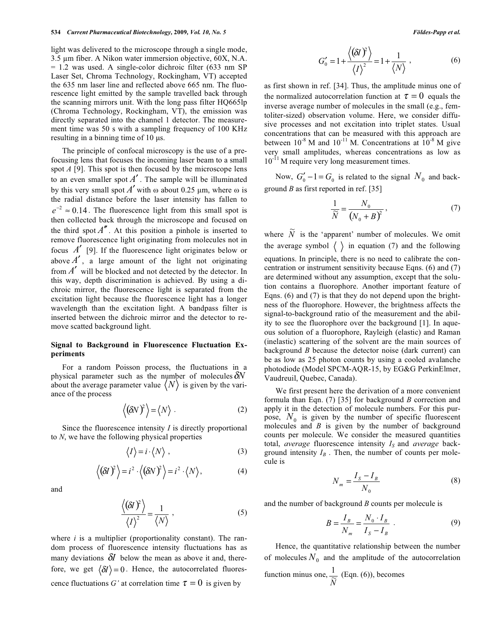light was delivered to the microscope through a single mode,  $3.5 \mu$ m fiber. A Nikon water immersion objective,  $60X$ , N.A. = 1.2 was used. A single-color dichroic filter (633 nm SP Laser Set, Chroma Technology, Rockingham, VT) accepted the 635 nm laser line and reflected above 665 nm. The fluorescence light emitted by the sample travelled back through the scanning mirrors unit. With the long pass filter HQ665lp (Chroma Technology, Rockingham, VT), the emission was directly separated into the channel 1 detector. The measurement time was 50 s with a sampling frequency of 100 KHz resulting in a binning time of  $10 \mu s$ .

 The principle of confocal microscopy is the use of a prefocusing lens that focuses the incoming laser beam to a small spot *A* [9]. This spot is then focused by the microscope lens to an even smaller spot  $A'$ . The sample will be illuminated by this very small spot  $A'$  with  $\omega$  about 0.25  $\mu$ m, where  $\omega$  is the radial distance before the laser intensity has fallen to  $e^{-2} \approx 0.14$ . The fluorescence light from this small spot is then collected back through the microscope and focused on the third spot  $A''$ . At this position a pinhole is inserted to remove fluorescence light originating from molecules not in focus  $A'$  [9]. If the fluorescence light originates below or above  $A'$ , a large amount of the light not originating from  $A'$  will be blocked and not detected by the detector. In this way, depth discrimination is achieved. By using a dichroic mirror, the fluorescence light is separated from the excitation light because the fluorescence light has a longer wavelength than the excitation light. A bandpass filter is inserted between the dichroic mirror and the detector to remove scatted background light.

#### **Signal to Background in Fluorescence Fluctuation Experiments**

 For a random Poisson process, the fluctuations in a physical parameter such as the number of molecules  $\delta N$ about the average parameter value  $\langle N \rangle$  is given by the variance of the process

$$
\langle (\delta N)^2 \rangle = \langle N \rangle . \tag{2}
$$

 Since the fluorescence intensity *I* is directly proportional to *N*, we have the following physical properties

$$
\langle I \rangle = i \cdot \langle N \rangle \;, \tag{3}
$$

$$
\langle (\delta I)^2 \rangle = i^2 \cdot \langle (\delta N)^2 \rangle = i^2 \cdot \langle N \rangle, \tag{4}
$$

and

$$
\frac{\langle (\delta I)^2 \rangle}{\langle I \rangle^2} = \frac{1}{\langle N \rangle},\tag{5}
$$

where *i* is a multiplier (proportionality constant). The random process of fluorescence intensity fluctuations has as many deviations  $\delta I$  below the mean as above it and, therefore, we get  $\langle \delta I \rangle = 0$ . Hence, the autocorrelated fluorescence fluctuations *G'* at correlation time  $\tau = 0$  is given by

$$
G_0' = 1 + \frac{\langle (\delta I)^2 \rangle}{\langle I \rangle^2} = 1 + \frac{1}{\langle N \rangle}, \qquad (6)
$$

as first shown in ref. [34]. Thus, the amplitude minus one of the normalized autocorrelation function at  $\tau = 0$  equals the inverse average number of molecules in the small (e.g., femtoliter-sized) observation volume. Here, we consider diffusive processes and not excitation into triplet states. Usual concentrations that can be measured with this approach are between  $10^{-8}$  M and  $10^{-11}$  M. Concentrations at  $10^{-8}$  M give very small amplitudes, whereas concentrations as low as  $10^{-11}$  M require very long measurement times.

Now,  $G'_0 - 1 = G_0$  is related to the signal  $N_0$  and background *B* as first reported in ref. [35]

$$
\frac{1}{\widetilde{N}} = \frac{N_0}{\left(N_0 + B\right)^2},\tag{7}
$$

where  $\widetilde{N}$  is the 'apparent' number of molecules. We omit the average symbol  $\langle \rangle$  in equation (7) and the following equations. In principle, there is no need to calibrate the concentration or instrument sensitivity because Eqns. (6) and (7) are determined without any assumption, except that the solution contains a fluorophore. Another important feature of Eqns. (6) and (7) is that they do not depend upon the brightness of the fluorophore. However, the brightness affects the signal-to-background ratio of the measurement and the ability to see the fluorophore over the background [1]. In aqueous solution of a fluorophore, Rayleigh (elastic) and Raman (inelastic) scattering of the solvent are the main sources of background *B* because the detector noise (dark current) can be as low as 25 photon counts by using a cooled avalanche photodiode (Model SPCM-AQR-15, by EG&G PerkinElmer, Vaudreuil, Quebec, Canada).

 We first present here the derivation of a more convenient formula than Eqn. (7) [35] for background *B* correction and apply it in the detection of molecule numbers. For this purpose,  $N_0$  is given by the number of specific fluorescent molecules and *B* is given by the number of background counts per molecule. We consider the measured quantities total, *average* fluorescence intensity  $I<sub>S</sub>$  and *average* background intensity  $I_B$ . Then, the number of counts per molecule is

$$
N_m = \frac{I_s - I_B}{N_0} \tag{8}
$$

and the number of background *B* counts per molecule is

$$
B = \frac{I_B}{N_m} = \frac{N_0 \cdot I_B}{I_S - I_B} \tag{9}
$$

 Hence, the quantitative relationship between the number of molecules  $N_0$  and the amplitude of the autocorrelation

function minus one,  $\frac{1}{\widetilde{N}}$  (Eqn. (6)), becomes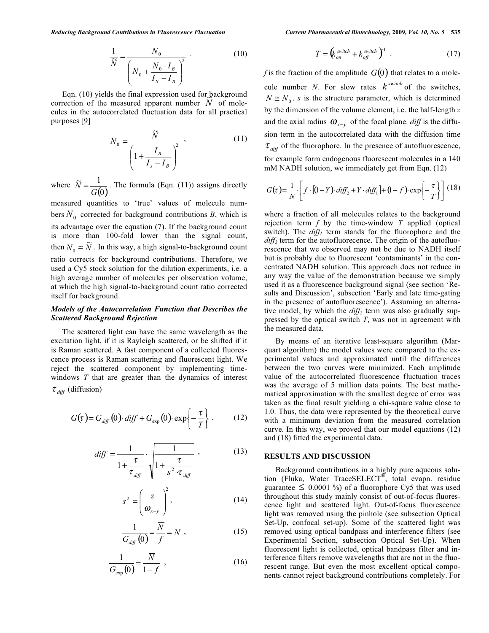$$
\frac{1}{\widetilde{N}} = \frac{N_0}{\left(N_0 + \frac{N_0 \cdot I_B}{I_S - I_B}\right)^2} \tag{10}
$$

 Eqn. (10) yields the final expression used for background Eqn. (10) yields the final expression used for background correction of the measured apparent number  $\dot{N}$  of molecules in the autocorrelated fluctuation data for all practical purposes [9]

$$
N_0 = \frac{\widetilde{N}}{\left(1 + \frac{I_B}{I_s - I_B}\right)^2},
$$
\n(11)

where  $\widetilde{N} = \frac{1}{G(0)}$ *G*  $\widetilde{N} = \frac{1}{\sigma(\epsilon)}$ . The formula (Eqn. (11)) assigns directly

measured quantities to 'true' values of molecule numbers  $N_0$  corrected for background contributions *B*, which is its advantage over the equation (7). If the background count is more than 100-fold lower than the signal count, then  $N_0 \cong \widetilde{N}$ . In this way, a high signal-to-background count ratio corrects for background contributions. Therefore, we used a Cy5 stock solution for the dilution experiments, i.e. a high average number of molecules per observation volume, at which the high signal-to-background count ratio corrected itself for background.

## *Models of the Autocorrelation Function that Describes the Scattered Background Rejection*

 The scattered light can have the same wavelength as the excitation light, if it is Rayleigh scattered, or be shifted if it is Raman scattered. A fast component of a collected fluorescence process is Raman scattering and fluorescent light. We reject the scattered component by implementing timewindows *T* that are greater than the dynamics of interest  $\tau_{\text{diff}}$  (diffusion)

$$
G(\tau) = G_{\text{diff}}(0) \cdot \text{diff} + G_{\text{exp}}(0) \cdot \exp\left\{-\frac{\tau}{T}\right\},\qquad(12)
$$

$$
diff = \frac{1}{1 + \frac{\tau}{\tau_{\text{diff}}}} \cdot \sqrt{\frac{1}{1 + \frac{\tau}{s^2} \cdot \tau_{\text{diff}}}} \tag{13}
$$

$$
s^2 = \left(\frac{z}{\omega_{x-y}}\right)^2, \tag{14}
$$

$$
\frac{1}{G_{\text{diff}}(0)} = \frac{\overline{N}}{f} = N \tag{15}
$$

$$
\frac{1}{G_{\exp}(0)} = \frac{\overline{N}}{1 - f} , \qquad (16)
$$

$$
T = \left(k_{on}^{switch} + k_{off}^{switch}\right)^{1} \tag{17}
$$

*f* is the fraction of the amplitude  $G(0)$  that relates to a molecule number *N*. For slow rates  $k^{switch}$  of the switches,  $N \approx N_0$ . *s* is the structure parameter, which is determined by the dimension of the volume element, i.e. the half-length *z* and the axial radius  $\omega_{x-y}$  of the focal plane. *diff* is the diffusion term in the autocorrelated data with the diffusion time  $\tau_{\text{diff}}$  of the fluorophore. In the presence of autofluorescence, for example form endogenous fluorescent molecules in a 140 mM NADH solution, we immediately get from Eqn. (12)

$$
G(\tau) = \frac{1}{N} \cdot \left[ f \cdot [(1 - Y) \cdot diff_2 + Y \cdot diff_1] + (1 - f) \cdot \exp\left\{-\frac{\tau}{T}\right\} \right] (18)
$$

where a fraction of all molecules relates to the background rejection term *f* by the time-window *T* applied (optical switch). The  $diff_1$  term stands for the fluorophore and the  $diff<sub>2</sub>$  term for the autofluorecence. The origin of the autofluorescence that we observed may not be due to NADH itself but is probably due to fluorescent 'contaminants' in the concentrated NADH solution. This approach does not reduce in any way the value of the demonstration because we simply used it as a fluorescence background signal (see section 'Results and Discussion', subsection 'Early and late time-gating in the presence of autofluorescence'). Assuming an alternative model, by which the *diff<sub>2</sub>* term was also gradually suppressed by the optical switch *T*, was not in agreement with the measured data.

 By means of an iterative least-square algorithm (Marquart algorithm) the model values were compared to the experimental values and approximated until the differences between the two curves were minimized. Each amplitude value of the autocorrelated fluorescence fluctuation traces was the average of 5 million data points. The best mathematical approximation with the smallest degree of error was taken as the final result yielding a chi-square value close to 1.0. Thus, the data were represented by the theoretical curve with a minimum deviation from the measured correlation curve. In this way, we proved that our model equations (12) and (18) fitted the experimental data.

# **RESULTS AND DISCUSSION**

 Background contributions in a highly pure aqueous solution (Fluka, Water TraceSELECT®, total evapn. residue guarantee  $\leq 0.0001$  %) of a fluorophore Cy5 that was used throughout this study mainly consist of out-of-focus fluorescence light and scattered light. Out-of-focus fluorescence light was removed using the pinhole (see subsection Optical Set-Up, confocal set-up). Some of the scattered light was removed using optical bandpass and interference filters (see Experimental Section, subsection Optical Set-Up). When fluorescent light is collected, optical bandpass filter and interference filters remove wavelengths that are not in the fluorescent range. But even the most excellent optical components cannot reject background contributions completely. For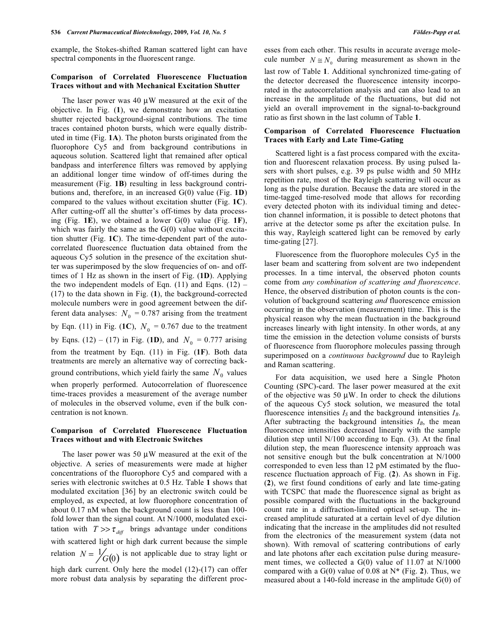example, the Stokes-shifted Raman scattered light can have spectral components in the fluorescent range.

#### **Comparison of Correlated Fluorescence Fluctuation Traces without and with Mechanical Excitation Shutter**

The laser power was  $40 \mu W$  measured at the exit of the objective. In Fig. (**1**), we demonstrate how an excitation shutter rejected background-signal contributions. The time traces contained photon bursts, which were equally distributed in time (Fig. **1A**). The photon bursts originated from the fluorophore Cy5 and from background contributions in aqueous solution. Scattered light that remained after optical bandpass and interference filters was removed by applying an additional longer time window of off-times during the measurement (Fig. **1B**) resulting in less background contributions and, therefore, in an increased G(0) value (Fig. **1D**) compared to the values without excitation shutter (Fig. **1C**). After cutting-off all the shutter's off-times by data processing (Fig. **1E**), we obtained a lower G(0) value (Fig. **1F**), which was fairly the same as the  $G(0)$  value without excitation shutter (Fig. **1C**). The time-dependent part of the autocorrelated fluorescence fluctuation data obtained from the aqueous Cy5 solution in the presence of the excitation shutter was superimposed by the slow frequencies of on- and offtimes of 1 Hz as shown in the insert of Fig. (**1D**). Applying the two independent models of Eqn.  $(11)$  and Eqns.  $(12)$  – (17) to the data shown in Fig. (**1**), the background-corrected molecule numbers were in good agreement between the different data analyses:  $N_0 = 0.787$  arising from the treatment by Eqn. (11) in Fig. (1C),  $N_0 = 0.767$  due to the treatment by Eqns. (12) – (17) in Fig. (1D), and  $N_0 = 0.777$  arising from the treatment by Eqn. (11) in Fig. (**1F**). Both data treatments are merely an alternative way of correcting background contributions, which yield fairly the same  $N_0$  values when properly performed. Autocorrelation of fluorescence time-traces provides a measurement of the average number of molecules in the observed volume, even if the bulk concentration is not known.

# **Comparison of Correlated Fluorescence Fluctuation Traces without and with Electronic Switches**

The laser power was 50  $\mu$ W measured at the exit of the objective. A series of measurements were made at higher concentrations of the fluorophore Cy5 and compared with a series with electronic switches at 0.5 Hz. Table **1** shows that modulated excitation [36] by an electronic switch could be employed, as expected, at low fluorophore concentration of about 0.17 nM when the background count is less than 100 fold lower than the signal count. At N/1000, modulated excitation with  $T >> \tau_{diff}$  brings advantage under conditions with scattered light or high dark current because the simple relation  $N = \frac{1}{G(0)}$  is not applicable due to stray light or high dark current. Only here the model (12)-(17) can offer more robust data analysis by separating the different proclast row of Table **1**. Additional synchronized time-gating of the detector decreased the fluorescence intensity incorporated in the autocorrelation analysis and can also lead to an increase in the amplitude of the fluctuations, but did not yield an overall improvement in the signal-to-background ratio as first shown in the last column of Table **1**.

#### **Comparison of Correlated Fluorescence Fluctuation Traces with Early and Late Time-Gating**

 Scattered light is a fast process compared with the excitation and fluorescent relaxation process. By using pulsed lasers with short pulses, e.g. 39 ps pulse width and 50 MHz repetition rate, most of the Rayleigh scattering will occur as long as the pulse duration. Because the data are stored in the time-tagged time-resolved mode that allows for recording every detected photon with its individual timing and detection channel information, it is possible to detect photons that arrive at the detector some ps after the excitation pulse. In this way, Rayleigh scattered light can be removed by early time-gating [27].

 Fluorescence from the fluorophore molecules Cy5 in the laser beam and scattering from solvent are two independent processes. In a time interval, the observed photon counts come from *any combination of scattering and fluorescence*. Hence, the observed distribution of photon counts is the convolution of background scattering *and* fluorescence emission occurring in the observation (measurement) time. This is the physical reason why the mean fluctuation in the background increases linearly with light intensity. In other words, at any time the emission in the detection volume consists of bursts of fluorescence from fluorophore molecules passing through superimposed on a *continuous background* due to Rayleigh and Raman scattering.

 For data acquisition, we used here a Single Photon Counting (SPC)-card. The laser power measured at the exit of the objective was 50  $\mu$ W. In order to check the dilutions of the aqueous Cy5 stock solution, we measured the total fluorescence intensities  $I_S$  and the background intensities  $I_B$ . After subtracting the background intensities  $I_B$ , the mean fluorescence intensities decreased linearly with the sample dilution step until N/100 according to Eqn. (3). At the final dilution step, the mean fluorescence intensity approach was not sensitive enough but the bulk concentration at N/1000 corresponded to even less than 12 pM estimated by the fluorescence fluctuation approach of Fig. (**2**). As shown in Fig. (**2**), we first found conditions of early and late time-gating with TCSPC that made the fluorescence signal as bright as possible compared with the fluctuations in the background count rate in a diffraction-limited optical set-up. The increased amplitude saturated at a certain level of dye dilution indicating that the increase in the amplitudes did not resulted from the electronics of the measurement system (data not shown). With removal of scattering contributions of early and late photons after each excitation pulse during measurement times, we collected a G(0) value of 11.07 at N/1000 compared with a G(0) value of 0.08 at N**\*** (Fig. **2**). Thus, we measured about a 140-fold increase in the amplitude G(0) of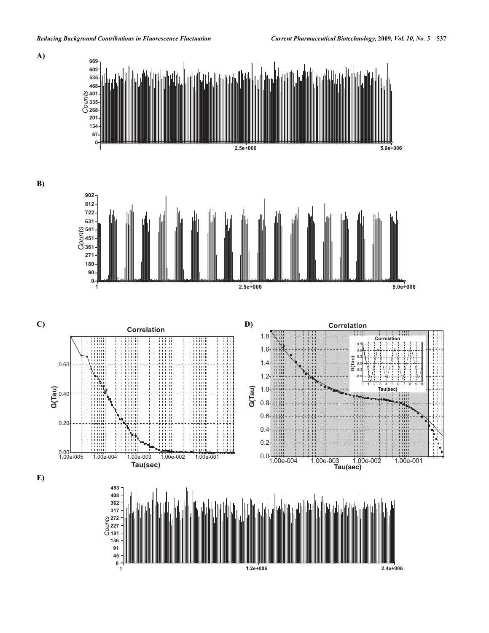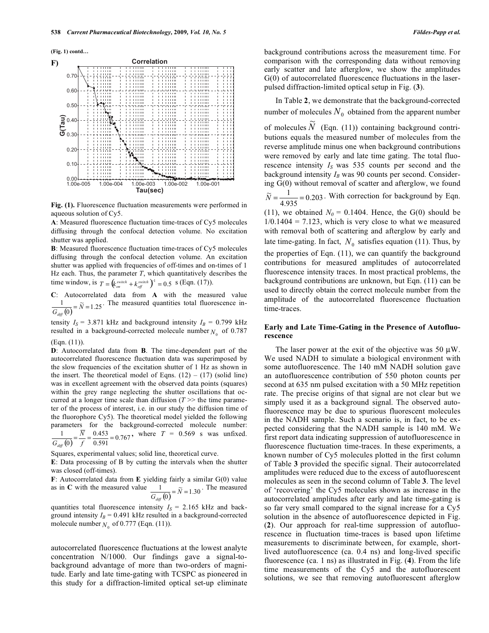**F)** 

 $0.10$ 



Tau(sec)  $0.00$  $1.00e - 005$  $1.00e - 00$  $4 - 1.00e - 00$  $3 - 1.00e - 00$  $2 \quad 1.00e-001$ 

**Fig. (1).** Fluorescence fluctuation measurements were performed in aqueous solution of Cy5.

**A**: Measured fluorescence fluctuation time-traces of Cy5 molecules diffusing through the confocal detection volume. No excitation shutter was applied.

**B**: Measured fluorescence fluctuation time-traces of Cy5 molecules diffusing through the confocal detection volume. An excitation shutter was applied with frequencies of off-times and on-times of 1 Hz each. Thus, the parameter  $T$ , which quantitatively describes the time window, is  $T = (k_{on}^{switch} + k_{off}^{switch})^1 = 0.5$  s (Eqn. (17)). *off*

**C**: Autocorrelated data from **A** with the measured value  $\frac{1}{G_{\text{diff}}(0)} = \tilde{N} = 1.25$ . The measured quantities total fluorescence in-

tensity  $I_S = 3.871$  kHz and background intensity  $I_B = 0.799$  kHz resulted in a background-corrected molecule number  $N_0$  of 0.787 (Eqn. (11)).

**D**: Autocorrelated data from **B**. The time-dependent part of the autocorrelated fluorescence fluctuation data was superimposed by the slow frequencies of the excitation shutter of 1 Hz as shown in the insert. The theoretical model of Eqns.  $(12) - (17)$  (solid line) was in excellent agreement with the observed data points (squares) within the grey range neglecting the shutter oscillations that occurred at a longer time scale than diffusion  $(T \gg t)$  the time parameter of the process of interest, i.e. in our study the diffusion time of the fluorophore Cy5). The theoretical model yielded the following parameters for the background-corrected molecule number:  $\overline{(0)} = \frac{17}{f} = \frac{0.155}{0.591} = 0.767$ 0.453  $\frac{1}{\pi(0)} = \frac{N}{f} = \frac{0.453}{0.591} =$  $G_{\text{diff}}$ , where  $T = 0.569$  s was unfixed.

Squares, experimental values; solid line, theoretical curve.

**E**: Data processing of B by cutting the intervals when the shutter was closed (off-times).

**F**: Autocorrelated data from **E** yielding fairly a similar G(0) value as in **C** with the measured value  $\frac{1}{G_{diff}(0)} = \tilde{N} = 1.30$ . The measured

quantities total fluorescence intensity  $I_S = 2.165$  kHz and background intensity  $I_B = 0.491$  kHz resulted in a background-corrected molecule number  $N_0$  of 0.777 (Eqn. (11)).

autocorrelated fluorescence fluctuations at the lowest analyte concentration N/1000. Our findings gave a signal-tobackground advantage of more than two-orders of magnitude. Early and late time-gating with TCSPC as pioneered in this study for a diffraction-limited optical set-up eliminate background contributions across the measurement time. For comparison with the corresponding data without removing early scatter and late afterglow, we show the amplitudes G(0) of autocorrelated fluorescence fluctuations in the laserpulsed diffraction-limited optical setup in Fig. (**3**).

 In Table **2**, we demonstrate that the background-corrected number of molecules  $N_0$  obtained from the apparent number

of molecules  $\widetilde{N}$  (Eqn. (11)) containing background contributions equals the measured number of molecules from the reverse amplitude minus one when background contributions were removed by early and late time gating. The total fluorescence intensity  $I_S$  was 535 counts per second and the background intensity  $I_B$  was 90 counts per second. Considering G(0) without removal of scatter and afterglow, we found  $\widetilde{N} = \frac{1}{4.935} = 0.203$ . With correction for background by Eqn. (11), we obtained  $N_0 = 0.1404$ . Hence, the G(0) should be  $1/0.1404 = 7.123$ , which is very close to what we measured with removal both of scattering and afterglow by early and

late time-gating. In fact,  $N_0$  satisfies equation (11). Thus, by the properties of Eqn. (11), we can quantify the background contributions for measured amplitudes of autocorrelated fluorescence intensity traces. In most practical problems, the background contributions are unknown, but Eqn. (11) can be used to directly obtain the correct molecule number from the amplitude of the autocorrelated fluorescence fluctuation time-traces.

## **Early and Late Time-Gating in the Presence of Autofluorescence**

The laser power at the exit of the objective was 50  $\mu$ W. We used NADH to simulate a biological environment with some autofluorescence. The 140 mM NADH solution gave an autofluorescence contribution of 550 photon counts per second at 635 nm pulsed excitation with a 50 MHz repetition rate. The precise origins of that signal are not clear but we simply used it as a background signal. The observed autofluorescence may be due to spurious fluorescent molecules in the NADH sample. Such a scenario is, in fact, to be expected considering that the NADH sample is 140 mM. We first report data indicating suppression of autofluorescence in fluorescence fluctuation time-traces. In these experiments, a known number of Cy5 molecules plotted in the first column of Table **3** provided the specific signal. Their autocorrelated amplitudes were reduced due to the excess of autofluorescent molecules as seen in the second column of Table **3**. The level of 'recovering' the Cy5 molecules shown as increase in the autocorrelated amplitudes after early and late time-gating is so far very small compared to the signal increase for a Cy5 solution in the absence of autofluorescence depicted in Fig. (**2**). Our approach for real-time suppression of autofluorescence in fluctuation time-traces is based upon lifetime measurements to discriminate between, for example, shortlived autofluorescence (ca. 0.4 ns) and long-lived specific fluorescence (ca. 1 ns) as illustrated in Fig. (**4**). From the life time measurements of the Cy5 and the autofluorescent solutions, we see that removing autofluorescent afterglow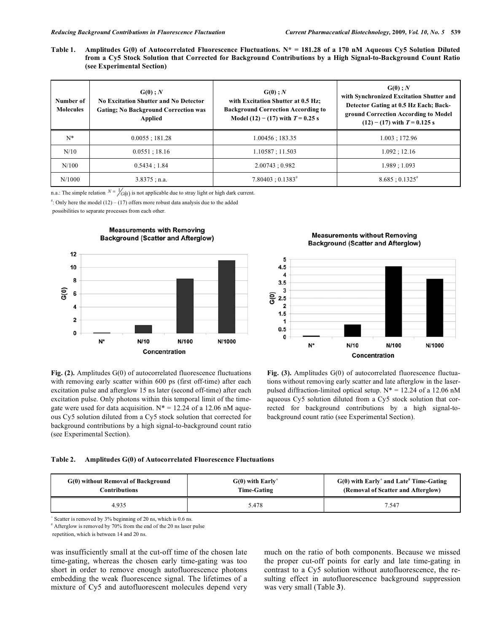**Table 1. Amplitudes G(0) of Autocorrelated Fluorescence Fluctuations. N\* = 181.28 of a 170 nM Aqueous Cy5 Solution Diluted from a Cy5 Stock Solution that Corrected for Background Contributions by a High Signal-to-Background Count Ratio (see Experimental Section)** 

| Number of<br><b>Molecules</b> | G(0); N<br>No Excitation Shutter and No Detector<br><b>Gating</b> ; No Background Correction was<br>Applied | $G(0)$ ; N<br>with Excitation Shutter at 0.5 Hz:<br><b>Background Correction According to</b><br>Model $(12) - (17)$ with $T = 0.25$ s | $G(0)$ ; N<br>with Synchronized Excitation Shutter and<br>Detector Gating at 0.5 Hz Each; Back-<br>ground Correction According to Model<br>$(12) - (17)$ with $T = 0.125$ s |
|-------------------------------|-------------------------------------------------------------------------------------------------------------|----------------------------------------------------------------------------------------------------------------------------------------|-----------------------------------------------------------------------------------------------------------------------------------------------------------------------------|
| $N^*$                         | $0.0055$ ; 181.28                                                                                           | 1.00456 : 183.35                                                                                                                       | 1.003:172.96                                                                                                                                                                |
| N/10                          | 0.0551:18.16                                                                                                | 1.10587; 11.503                                                                                                                        | 1.092:12.16                                                                                                                                                                 |
| N/100                         | 0.5434:1.84                                                                                                 | 2.00743:0.982                                                                                                                          | 1.989; 1.093                                                                                                                                                                |
| N/1000                        | $3.8375$ ; n.a.                                                                                             | $7.80403 : 0.1383^{\#}$                                                                                                                | $8.685:0.1325^{*}$                                                                                                                                                          |

n.a.: The simple relation  $N = \frac{1}{G(0)}$  is not applicable due to stray light or high dark current.

 $\ddot{ }$ : Only here the model (12) – (17) offers more robust data analysis due to the added

possibilities to separate processes from each other.





**Measurements without Removing Background (Scatter and Afterglow)** 



**Fig. (2).** Amplitudes G(0) of autocorrelated fluorescence fluctuations with removing early scatter within 600 ps (first off-time) after each excitation pulse and afterglow 15 ns later (second off-time) after each excitation pulse. Only photons within this temporal limit of the timegate were used for data acquisition.  $N^* = 12.24$  of a 12.06 nM aqueous Cy5 solution diluted from a Cy5 stock solution that corrected for background contributions by a high signal-to-background count ratio (see Experimental Section).

Fig. (3). Amplitudes G(0) of autocorrelated fluorescence fluctuations without removing early scatter and late afterglow in the laserpulsed diffraction-limited optical setup.  $N^* = 12.24$  of a 12.06 nM aqueous Cy5 solution diluted from a Cy5 stock solution that corrected for background contributions by a high signal-tobackground count ratio (see Experimental Section).

#### **Table 2. Amplitudes G(0) of Autocorrelated Fluorescence Fluctuations**

| G(0) without Removal of Background | $G(0)$ with Early <sup>+</sup> | $G(0)$ with Early <sup>+</sup> and Late <sup>#</sup> Time-Gating |
|------------------------------------|--------------------------------|------------------------------------------------------------------|
| Contributions                      | <b>Time-Gating</b>             | (Removal of Scatter and Afterglow)                               |
| 4.935                              | 5.478                          | 7.547                                                            |

+ Scatter is removed by 3% beginning of 20 ns, which is 0.6 ns.

# Afterglow is removed by 70% from the end of the 20 ns laser pulse

repetition, which is between 14 and 20 ns.

was insufficiently small at the cut-off time of the chosen late time-gating, whereas the chosen early time-gating was too short in order to remove enough autofluorescence photons embedding the weak fluorescence signal. The lifetimes of a mixture of Cy5 and autofluorescent molecules depend very much on the ratio of both components. Because we missed the proper cut-off points for early and late time-gating in contrast to a Cy5 solution without autofluorescence, the resulting effect in autofluorescence background suppression was very small (Table **3**).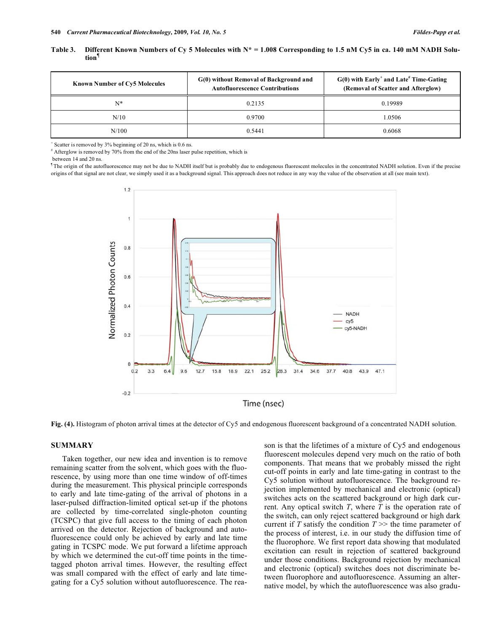| Table 3. Different Known Numbers of Cy 5 Molecules with $N^* = 1.008$ Corresponding to 1.5 nM Cy5 in ca. 140 mM NADH Solu- |  |
|----------------------------------------------------------------------------------------------------------------------------|--|
| tion <sup>1</sup>                                                                                                          |  |

| <b>Known Number of Cy5 Molecules</b> | G(0) without Removal of Background and<br><b>Autofluorescence Contributions</b> | $G(0)$ with Early <sup>+</sup> and Late <sup>#</sup> Time-Gating<br>(Removal of Scatter and Afterglow) |
|--------------------------------------|---------------------------------------------------------------------------------|--------------------------------------------------------------------------------------------------------|
| N*                                   | 0.2135                                                                          | 0.19989                                                                                                |
| N/10                                 | 0.9700                                                                          | 1.0506                                                                                                 |
| N/100                                | 0.5441                                                                          | 0.6068                                                                                                 |

+ Scatter is removed by 3% beginning of 20 ns, which is 0.6 ns.

# Afterglow is removed by 70% from the end of the 20ns laser pulse repetition, which is

between 14 and 20 ns.

¶ The origin of the autofluorescence may not be due to NADH itself but is probably due to endogenous fluorescent molecules in the concentrated NADH solution. Even if the precise origins of that signal are not clear, we simply used it as a background signal. This approach does not reduce in any way the value of the observation at all (see main text).



**Fig. (4).** Histogram of photon arrival times at the detector of Cy5 and endogenous fluorescent background of a concentrated NADH solution.

#### **SUMMARY**

 Taken together, our new idea and invention is to remove remaining scatter from the solvent, which goes with the fluorescence, by using more than one time window of off-times during the measurement. This physical principle corresponds to early and late time-gating of the arrival of photons in a laser-pulsed diffraction-limited optical set-up if the photons are collected by time-correlated single-photon counting (TCSPC) that give full access to the timing of each photon arrived on the detector. Rejection of background and autofluorescence could only be achieved by early and late time gating in TCSPC mode. We put forward a lifetime approach by which we determined the cut-off time points in the timetagged photon arrival times. However, the resulting effect was small compared with the effect of early and late timegating for a Cy5 solution without autofluorescence. The reason is that the lifetimes of a mixture of Cy5 and endogenous fluorescent molecules depend very much on the ratio of both components. That means that we probably missed the right cut-off points in early and late time-gating in contrast to the Cy5 solution without autofluorescence. The background rejection implemented by mechanical and electronic (optical) switches acts on the scattered background or high dark current. Any optical switch *T*, where *T* is the operation rate of the switch, can only reject scattered background or high dark current if *T* satisfy the condition  $T \gg$  the time parameter of the process of interest, i.e. in our study the diffusion time of the fluorophore. We first report data showing that modulated excitation can result in rejection of scattered background under those conditions. Background rejection by mechanical and electronic (optical) switches does not discriminate between fluorophore and autofluorescence. Assuming an alternative model, by which the autofluorescence was also gradu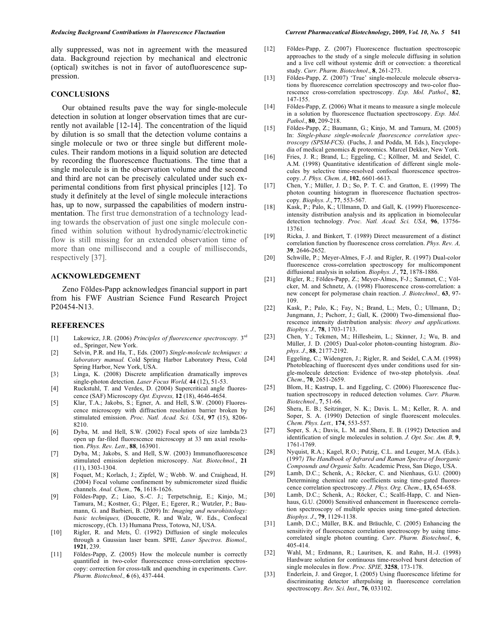ally suppressed, was not in agreement with the measured data. Background rejection by mechanical and electronic (optical) switches is not in favor of autofluorescence suppression.

#### **CONCLUSIONS**

 Our obtained results pave the way for single-molecule detection in solution at longer observation times that are currently not available [12-14]. The concentration of the liquid by dilution is so small that the detection volume contains a single molecule or two or three single but different molecules. Their random motions in a liquid solution are detected by recording the fluorescence fluctuations. The time that a single molecule is in the observation volume and the second and third are not can be precisely calculated under such experimental conditions from first physical principles [12]. To study it definitely at the level of single molecule interactions has, up to now, surpassed the capabilities of modern instrumentation. The first true demonstration of a technology leading towards the observation of just one single molecule confined within solution without hydrodynamic/electrokinetic flow is still missing for an extended observation time of more than one millisecond and a couple of milliseconds, respectively [37].

#### **ACKNOWLEDGEMENT**

 Zeno Földes-Papp acknowledges financial support in part from his FWF Austrian Science Fund Research Project P20454-N13.

#### **REFERENCES**

- [1] Lakowicz, J.R. (2006) *Principles of fluorescence spectroscopy.* 3rd ed., Springer, New York.
- [2] Selvin, P.R. and Ha, T., Eds. (2007) *Single-molecule techniques: a laboratory manual.* Cold Spring Harbor Laboratory Press, Cold Spring Harbor, New York, USA.
- [3} Linga, K. (2008) Discrete amplification dramatically improves single-photon detection. *Laser Focus World,* **44** (12), 51-53.
- [4] Ruckstuhl, T. and Verdes, D. (2004) Supercritical angle fluorescence (SAF) Microscopy *Opt. Express,* **12** (18), 4646-4654.
- [5] Klar, T.A.; Jakobs, S.; Egner, A. and Hell, S.W. (2000) Fluorescence microscopy with diffraction resolution barrier broken by stimulated emission. *Proc. Natl. Acad. Sci. USA*, **97** (15), 8206- 8210.
- [6] Dyba, M. and Hell, S.W. (2002) Focal spots of size lambda/23 open up far-filed fluorescence microscopy at 33 nm axial resolution. *Phys. Rev. Lett*., **88**, 163901.
- [7] Dyba, M.; Jakobs, S. and Hell, S.W. (2003) Immunofluorescence stimulated emission depletion microscopy. *Nat. Biotechnol*., **21** (11), 1303-1304.
- [8] Foquet, M.; Korlach, J.; Zipfel, W.; Webb. W. and Craighead, H. (2004) Focal volume confinement by submicrometer sized fluidic channels. *Anal. Chem.,* **76**, 1618-1626.
- [9] Földes-Papp, Z.; Liao, S.-C. J.; Terpetschnig, E.; Kinjo, M.; Tamura, M.; Kostner, G.; Pilger, E.; Egerer, R.; Wutzler, P.; Baumann, G. and Barbieri, B. (2009) In: *Imaging and neurohistology: basic techniques,* (Doucette, R. and Walz, W. Eds., Confocal microscopy, (Ch. 13) Humana Press, Totowa, NJ, USA.
- [10] Rigler, R. and Mets, Ü. (1992) Diffusion of single molecules through a Gaussian laser beam. SPIE*, Laser Spectros. Biomol.,*  **1921**, 239.
- [11] Földes-Papp, Z. (2005) How the molecule number is correctly quantified in two-color fluorescence cross-correlation spectroscopy: correction for cross-talk and quenching in experiments. *Curr. Pharm. Biotechnol.,* **6** (6), 437-444.
- [12] Földes-Papp, Z. (2007) Fluorescence fluctuation spectroscopic approaches to the study of a single molecule diffusing in solution and a live cell without systemic drift or convection: a theoretical study. *Curr. Pharm. Biotechnol*., **8**, 261-273.
- [13] Földes-Papp, Z. (2007) 'True' single-molecule molecule observations by fluorescence correlation spectroscopy and two-color fluorescence cross-correlation spectroscopy. *Exp. Mol. Pathol*., **82**, 147-155.
- [14] Földes-Papp, Z. (2006) What it means to measure a single molecule in a solution by fluorescence fluctuation spectroscopy. *Exp. Mol. Pathol*., **80**, 209-218.
- [15] Földes-Papp, Z.; Baumann, G.; Kinjo, M. and Tamura, M. (2005) In: *Single-phase single-molecule fluorescence correlation spectroscopy (SPSM-FCS).* (Fuchs, J. and Podda, M. Eds.), Encyclopedia of medical genomics & proteomics. Marcel Dekker, New York.
- [16] Fries, J. R.; Brand, L.; Eggeling, C.; Köllner, M. and Seidel, C. A.M. (1998) Quantitative identification of different single molecules by selective time-resolved confocal fluorescence spectroscopy. *J. Phys. Chem. A*, **102**, 6601-6613.
- [17] Chen, Y.; Müller, J. D.; So, P. T. C. and Gratton, E. (1999) The photon counting histogram in fluorescence fluctuation spectroscopy*. Biophys. J*., **77**, 553-567.
- [18] Kask, P.; Palo, K.; Ullmann, D. and Gall, K. (1999) Fluorescenceintensity distribution analysis and its application in biomolecular detection technology. *Proc. Natl. Acad. Sci. USA*, **96**, 13756- 13761.
- [19] Ricka, J. and Binkert, T. (1989) Direct measurement of a distinct correlation function by fluorescence cross correlation. *Phys. Rev. A,* **39***,* 2646-2652.
- [20] Schwille, P.; Meyer-Almes, F.-J. and Rigler, R. (1997) Dual-color fluorescence cross-correlation spectroscopy for multicomponent diffusional analysis in solution. *Biophys. J.*, **72**, 1878-1886.
- [21] Rigler, R.; Földes-Papp, Z.; Meyer-Almes, F-J.; Sammet, C.; Völcker, M. and Schnetz, A. (1998) Fluorescence cross-correlation: a new concept for polymerase chain reaction. *J. Biotechnol.,* **63**, 97- 109.
- [22] Kask, P.; Palo, K.; Fay, N.; Brand, L.; Mets, Ü.; Ullmann, D.; Jungmann, J.; Pschorr, J.; Gall, K. (2000) Two-dimensional fluorescence intensity distribution analysis: *theory and applications. Biophys. J.,* **78**, 1703-1713.
- [23] Chen, Y.; Tekmen, M.; Hillesheim, L.; Skinner, J.; Wu, B. and Müller, J. D. (2005) Dual-color photon-counting histogram. *Biophys. J*., **88**, 2177-2192.
- [24] Eggeling, C.; Widengren, J.; Rigler, R. and Seidel, C.A.M. (1998) Photobleaching of fluorescent dyes under conditions used for single-molecule detection: Evidence of two-step photolysis. *Anal. Chem*., **70**, 2651-2659.
- [25] Blom, H.; Kastrup, L. and Eggeling, C. (2006) Fluorescence fluctuation spectroscopy in reduced detection volumes. *Curr. Pharm. Biotechnol*., **7**, 51-66.
- [26] Shera, E. B.; Seitzinger, N. K.; Davis. L. M.; Keller, R. A. and Soper, S. A. (1990) Detection of single fluorescent molecules. *Chem. Phys. Lett.,* **174**, 553-557.
- [27] Soper, S. A.; Davis, L. M. and Shera, E. B. (1992) Detection and identification of single molecules in solution. *J. Opt. Soc. Am. B,* **9**, 1761-1769.
- [28] Nyquist, R.A.; Kagel, R.O.; Putzig, C.L. and Leuger, M.A. (Eds.). (1997*) The Handbook of Infrared and Raman Spectra of Inorganic Compounds and Organic Salts.* Academic Press, San Diego, USA.
- [29] Lamb, D.C.; Schenk, A.; Röcker, C. and Nienhaus, G.U. (2000) Determining chemical rate coefficients using time-gated fluorescence correlation spectroscopy. *J. Phys. Org. Chem*., **13,** 654-658.
- [30] Lamb, D.C.; Schenk, A.; Röcker, C.; Scalfi-Happ, C. and Nienhaus, G.U. (2000) Sensitived enhancement in fluorescence correlation spectroscopy of multiple species using time-gated detection. *Biophys. J*., **79**, 1129-1138.
- [31] Lamb, D.C.; Müller, B.K. and Bräuchle, C. (2005) Enhancing the sensitivity of fluorescence correlation spectroscopy by using timecorrelated single photon counting. *Curr. Pharm. Biotechnol.,* **6**, 405-414.
- [32] Wahl, M.; Erdmann, R.; Lauritsen, K. and Rahn, H.-J. (1998) Hardware solution for continuous time-resolved burst detection of single molecules in flow. *Proc. SPIE,* **3258**, 173-178.
- [33] Enderlein, J. and Gregor, I. (2005) Using fluorescence lifetime for discriminating detector afterpulsing in fluorescence correlation spectroscopy. *Rev. Sci. Inst*., **76**, 033102.